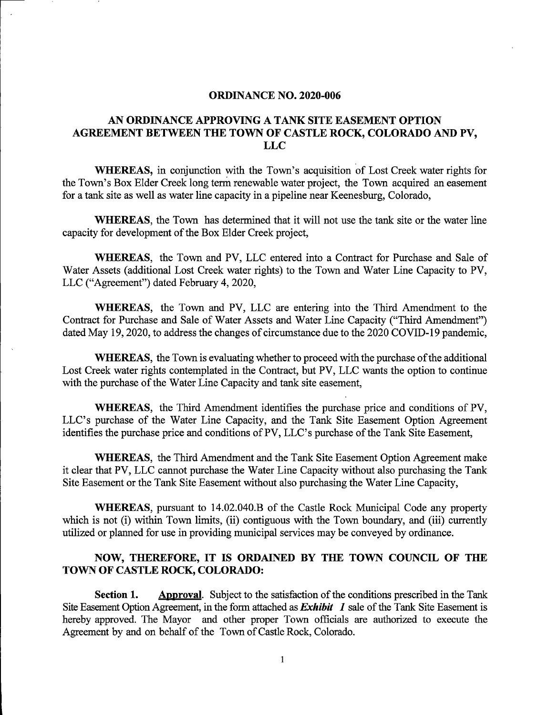#### ORDINANCE NO. 2020-006

### AN ORDINANCE APPROVING A TANK SITE EASEMENT OPTION AGREEMENT BETWEEN THE TOWN OF CASTLE ROCK, COLORADO AND PV, LLC

WHEREAS, in conjunction with the Town's acquisition of Lost Creek water rights for the Town's Box Elder Creek long term renewable water project, the Town acquired an easement for a tank site as well as water line capacity in a pipeline near Keenesburg, Colorado,

WHEREAS, the Town has determined that it will not use the tank site or the water line capacity for development of the Box Elder Creek project,

WHEREAS, the Town and PV, LLC entered into a Contract for Purchase and Sale of Water Assets (additional Lost Creek water rights) to the Town and Water Line Capacity to PV, LLC ("Agreement") dated February 4, 2020,

WHEREAS, the Town and PV, LLC are entering into the Third Amendment to the Contract for Purchase and Sale of Water Assets and Water Line Capacity ("Third Amendment") dated May 19, 2020, to address the changes of circumstance due to the 2020 COVID-19 pandemic,

WHEREAS, the Town is evaluating whether to proceed with the purchase of the additional Lost Creek water rights contemplated in the Contract, but PV, LLC wants the option to continue with the purchase of the Water Line Capacity and tank site easement,

WHEREAS, the Third Amendment identifies the purchase price and conditions of PV, LLC's purchase of the Water Line Capacity, and the Tank Site Easement Option Agreement identifies the purchase price and conditions of PV, LLC's purchase of the Tank Site Easement,

WHEREAS, the Third Amendment and the Tank Site Easement Option Agreement make it clear that PV, LLC cannot purchase the Water Line Capacity without also purchasing the Tank Site Easement or the Tank Site Easement without also purchasing the Water Line Capacity,

WHEREAS, pursuant to 14.02.040.B of the Castle Rock Municipal Code any property which is not (i) within Town limits, (ii) contiguous with the Town boundary, and (iii) currently utilized or planned for use in providing municipal services may be conveyed by ordinance.

## NOW, THEREFORE, IT IS ORDAINED BY THE TOWN COUNCIL OF THE TOWN OF CASTLE ROCK, COLORADO:

Section 1. Approval. Subject to the satisfaction of the conditions prescribed in the Tank Site Easement Option Agreement, in the form attached as  $Exhibit$  1 sale of the Tank Site Easement is hereby approved. The Mayor and other proper Town officials are authorized to execute the Agreement by and on behalf of the Town of Castle Rock, Colorado.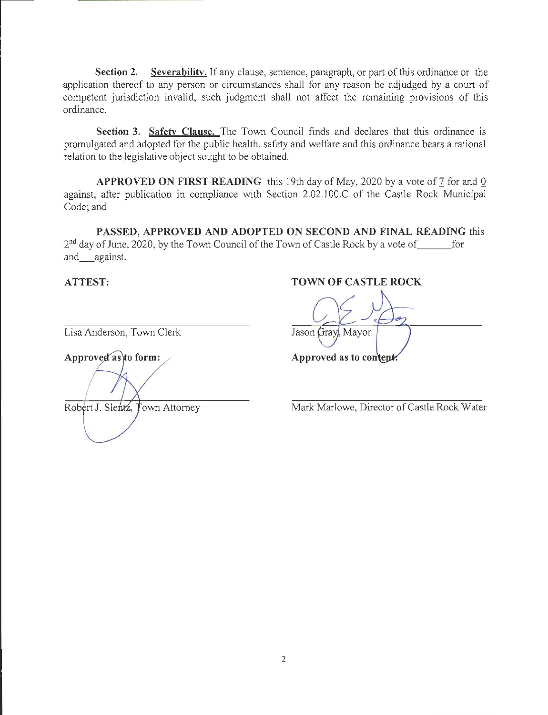Section 2. Severability. If any clause, sentence, paragraph, or part of this ordinance or the application thereof to any person or circumstances shall for any reason be adjudged by a court of competent jurisdiction invalid, such judgment shall not affect the remaining provisions of this ordinance.

Section 3. Safety Clause. The Town Council finds and declares that this ordinance is promulgated and adopted for the public health, safety and welfare and this ordinance bears a rational relation to the legislative object sought to be obtained.

APPROVED ON FIRST READING this 19th day of May, 2020 by a vote of  $\frac{7}{2}$  for and  $\frac{0}{2}$ against, after publication in compliance with Section 2.02.100.C of the Castle Rock Municipal Code; and

PASSED, APPROVED AND ADOPTED ON SECOND AND FINAL READING this  $2<sup>nd</sup>$  day of June, 2020, by the Town Council of the Town of Castle Rock by a vote of for and against.

Lisa Anderson, Town Clerk Jason Gray, Mayor

Approved as to form:  $\blacktriangle$  Approved as to content.

ATTEST: TOWN OF CASTLE ROCK

Robert J. Slentz, Town Attomey Mark Marlowe, Director of Castle Rock Water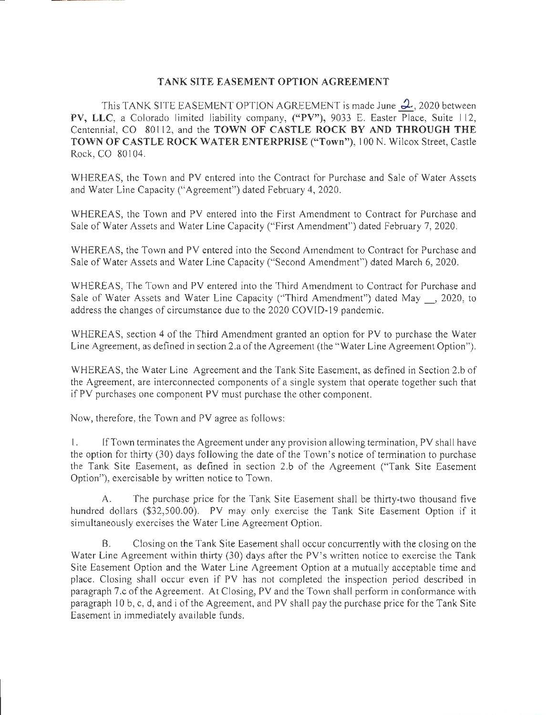### TANK SITE EASEMENT OPTION AGREEMENT

This TANK SITE EASEMENT OPTION AGREEMENT is made June  $2$ , 2020 between PV, LLC, a Colorado limited liability company, ("PV"), 9033 E. Easter Place, Suite 112, Centennial, CO 80112, and the TOWN OF CASTLE ROCK BY AND THROUGH THE TOWN OF CASTLE ROCK WATER ENTERPRISE ("Town"), 100 N. Wilcox Street, Castle Rock, CO 80104.

WHEREAS, the Town and PV entered into the Contract for Purchase and Sale of Water Assets and Water Line Capacity ("Agreement") dated February 4, 2020.

WHEREAS, the Town and PV entered into the First Amendment to Contract for Purchase and Sale of Water Assets and Water Line Capacity ("First Amendment") dated February 7, 2020.

WHEREAS, the Town and PV entered into the Second Amendment to Contract for Purchase and Sale of Water Assets and Water Line Capacity ("Second Amendment") dated March 6, 2020.

WHEREAS, The Town and PV entered into the Third Amendment to Contract for Purchase and Sale of Water Assets and Water Line Capacity ("Third Amendment") dated May , 2020, to address the changes of circumstance due to the 2020 COVID-19 pandemic.

WHEREAS, section 4 of the Third Amendment granted an option for PV to purchase the Water Line Agreement, as defined in section 2.a of the Agreement (the "Water Line Agreement Option").

WHEREAS, the Water Line Agreement and the Tank Site Easement, as defined in Section 2.b of the Agreement, are interconnected components of a single system that operate together such that if PV purchases one component PV must purchase the other component.

Now, therefore, the Town and PV agree as follows:

1. If Town terminates the Agreement under any provision allowing termination, PV shall have the option for thirty  $(30)$  days following the date of the Town's notice of termination to purchase the Tank Site Easement, as defined in section 2.b of the Agreement ("Tank Site Easement Option"), exercisable by written notice to Town.

A. The purchase price for the Tank Site Easement shall be thirty-two thousand five hundred dollars (\$32,500.00). PV may only exercise the Tank Site Easement Option if it simultaneously exercises the Water Line Agreement Option.

B. Closing on the Tank Site Easement shall occur concurrently with the closing on the Water Line Agreement within thirty (30) days after the PV's written notice to exercise the Tank Site Easement Option and the Water Line Agreement Option at a mutually acceptable time and place. Closing shall occur even if PV has not completed the inspection period described in paragraph 7.c ofthe Agreement. At Closing, PV and the Town shall perform in conformance with paragraph 10 b, c, d, and i ofthe Agreement, and PV shall pay the purchase price for the Tank Site Easement in immediately available funds.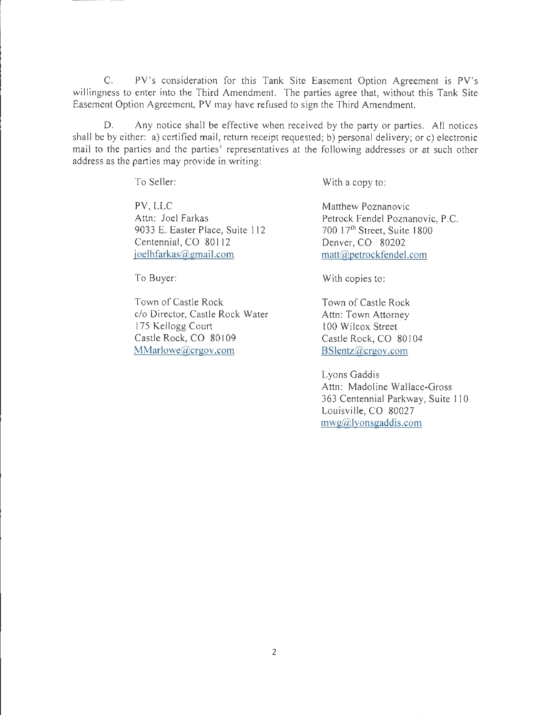C. PV's consideration for this Tank Site Easement Option Agreement is PV's willingness to enter into the Third Amendment. The parties agree that, without this Tank Site Easement Option Agreement, PV may have refused to sign the Third Amendment.

D. Any notice shall be effective when received by the party or parties. All notices shall be by either: a) certified mail, return receipt requested; b) personal delivery; or c) electronic mail to the parties and the parties' representatives at the following addresses or at such other address as the parties may provide in writing:

To Seller:

PV, LLC Attn: Joel Farkas 9033 E. Easter Place, Suite 112 Centennial, CO 80112 joelhfarkas@gmail.com

To Buyer:

Town of Castle Rock c/o Director, Castle Rock Water 175 Kellogg Court Castle Rock, CO 80109 MMarlowe@crgov.com

With a copy to:

Matthew Poznanovic Petrock Fendel Poznanovic, P.C. 700 17<sup>th</sup> Street, Suite 1800 Denver, CO 80202 matt@,petrockfendel.com

With copies to:

Town of Castle Rock Attn: Town Attorney 100 Wilcox Street Castle Rock, CO 80104 BSlentz@crgov.com

Lyons Gaddis Attn: Madoline Wallace-Gross 363 Centennial Parkway, Suite 110 Louisville, CO 80027 mwg@,lvonsgaddis.com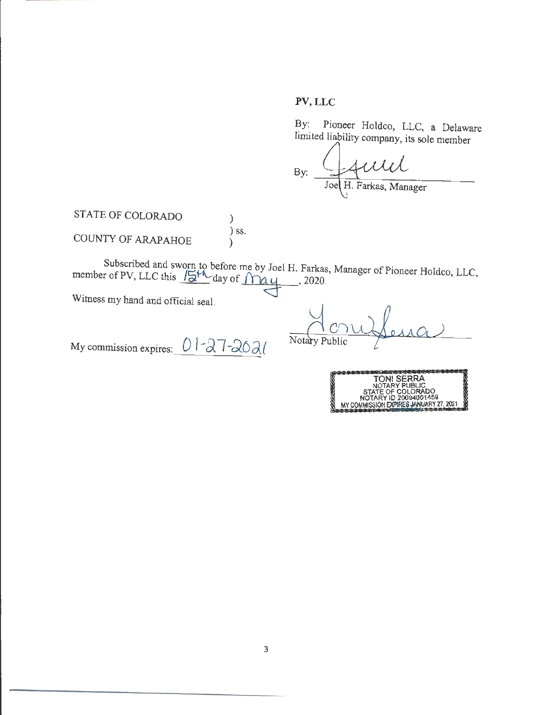# PV, LLC

Pioneer Holdco, LLC, a Delaware  $By:$ limited liability company, its sole member

Joe H. Farkas, Manager  $By:$ 

STATE OF COLORADO COUNTY OF ARAPAHOE )  $\int$  ss. )

Subscribed and sworn to before me by Joel H. Farkas, Manager of Pioneer Holdco, LLC,<br>member of PV, LLC this  $\sqrt{5^{14}}$  day of  $\sqrt{10}$  4, 2020.

Witness my hand and official seal.

My commission expires:  $01-27-20$ 

Notary Public

| <b>TONI SERRA</b>                      |
|----------------------------------------|
| NOTARY PUBLIC                          |
| STATE OF COLORADO                      |
| NOTARY ID 20094001459                  |
|                                        |
| MY COMMISSION EXPIRES JANUARY 27, 2021 |